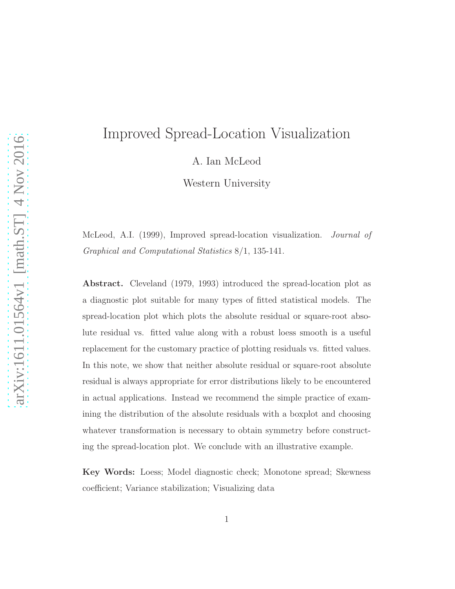# Improved Spread-Location Visualization

A. Ian McLeod

Western University

McLeod, A.I. (1999), Improved spread-location visualization. Journal of Graphical and Computational Statistics 8/1, 135-141.

Abstract. Cleveland (1979, 1993) introduced the spread-location plot as a diagnostic plot suitable for many types of fitted statistical models. The spread-location plot which plots the absolute residual or square-root absolute residual vs. fitted value along with a robust loess smooth is a useful replacement for the customary practice of plotting residuals vs. fitted values. In this note, we show that neither absolute residual or square-root absolute residual is always appropriate for error distributions likely to be encountered in actual applications. Instead we recommend the simple practice of examining the distribution of the absolute residuals with a boxplot and choosing whatever transformation is necessary to obtain symmetry before constructing the spread-location plot. We conclude with an illustrative example.

Key Words: Loess; Model diagnostic check; Monotone spread; Skewness coefficient; Variance stabilization; Visualizing data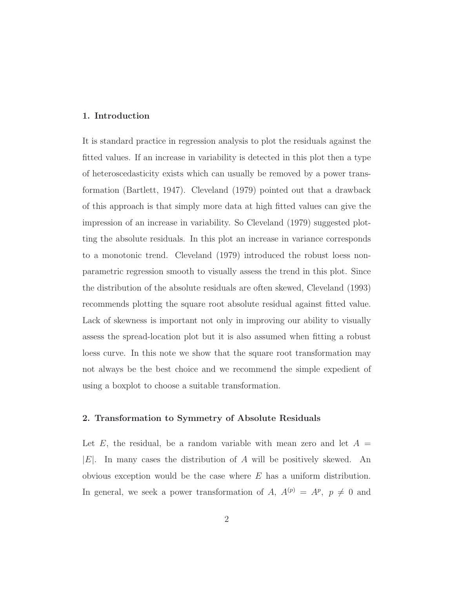#### 1. Introduction

It is standard practice in regression analysis to plot the residuals against the fitted values. If an increase in variability is detected in this plot then a type of heteroscedasticity exists which can usually be removed by a power transformation (Bartlett, 1947). Cleveland (1979) pointed out that a drawback of this approach is that simply more data at high fitted values can give the impression of an increase in variability. So Cleveland (1979) suggested plotting the absolute residuals. In this plot an increase in variance corresponds to a monotonic trend. Cleveland (1979) introduced the robust loess nonparametric regression smooth to visually assess the trend in this plot. Since the distribution of the absolute residuals are often skewed, Cleveland (1993) recommends plotting the square root absolute residual against fitted value. Lack of skewness is important not only in improving our ability to visually assess the spread-location plot but it is also assumed when fitting a robust loess curve. In this note we show that the square root transformation may not always be the best choice and we recommend the simple expedient of using a boxplot to choose a suitable transformation.

### 2. Transformation to Symmetry of Absolute Residuals

Let E, the residual, be a random variable with mean zero and let  $A =$  $|E|$ . In many cases the distribution of A will be positively skewed. An obvious exception would be the case where  $E$  has a uniform distribution. In general, we seek a power transformation of A,  $A^{(p)} = A^p$ ,  $p \neq 0$  and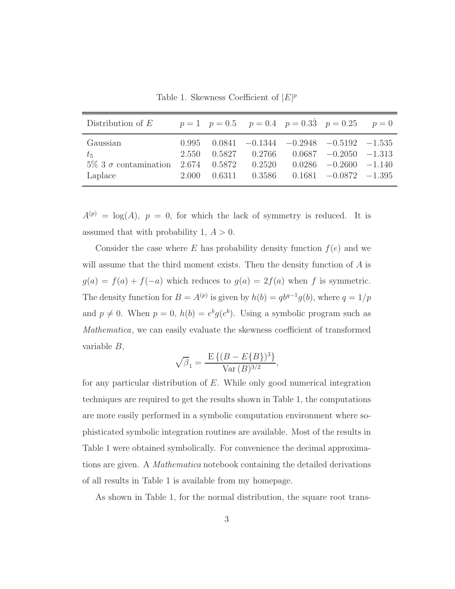Table 1. Skewness Coefficient of  $|E|^p$ 

| Distribution of $E$                                                           |                         |                  |                  | $p = 1$ $p = 0.5$ $p = 0.4$ $p = 0.33$ $p = 0.25$ $p = 0$                                                                               |  |
|-------------------------------------------------------------------------------|-------------------------|------------------|------------------|-----------------------------------------------------------------------------------------------------------------------------------------|--|
| Gaussian<br>$t_{5}$<br>$5\%$ 3 $\sigma$ contamination 2.674 0.5872<br>Laplace | 0.995<br>2.550<br>2.000 | 0.5827<br>0.6311 | 0.2520<br>0.3586 | $0.0841 -0.1344 -0.2948 -0.5192 -1.535$<br>$0.2766$ $0.0687$ $-0.2050$ $-1.313$<br>$0.0286 - 0.2600 - 1.140$<br>$0.1681 -0.0872 -1.395$ |  |

 $A^{(p)} = \log(A), p = 0$ , for which the lack of symmetry is reduced. It is assumed that with probability 1,  $A > 0$ .

Consider the case where E has probability density function  $f(e)$  and we will assume that the third moment exists. Then the density function of  $A$  is  $g(a) = f(a) + f(-a)$  which reduces to  $g(a) = 2f(a)$  when f is symmetric. The density function for  $B = A^{(p)}$  is given by  $h(b) = qb^{q-1}g(b)$ , where  $q = 1/p$ and  $p \neq 0$ . When  $p = 0$ ,  $h(b) = e^{b}g(e^{b})$ . Using a symbolic program such as Mathematica, we can easily evaluate the skewness coefficient of transformed variable B,

$$
\sqrt{\beta_1} = \frac{\mathcal{E}\left\{(B - E\{B\})^3\right\}}{\text{Var}(B)^{3/2}},
$$

for any particular distribution of E. While only good numerical integration techniques are required to get the results shown in Table 1, the computations are more easily performed in a symbolic computation environment where sophisticated symbolic integration routines are available. Most of the results in Table 1 were obtained symbolically. For convenience the decimal approximations are given. A Mathematica notebook containing the detailed derivations of all results in Table 1 is available from my homepage.

As shown in Table 1, for the normal distribution, the square root trans-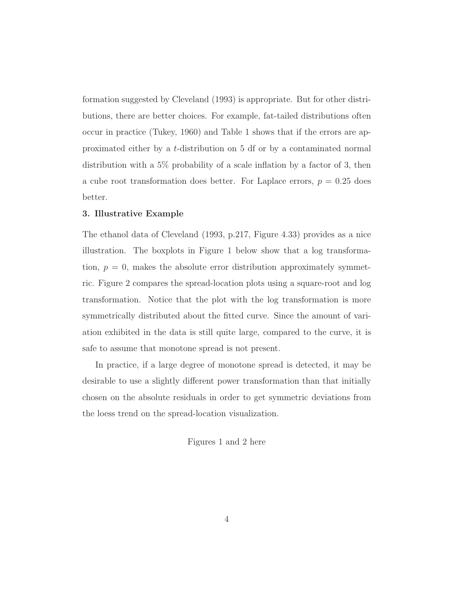formation suggested by Cleveland (1993) is appropriate. But for other distributions, there are better choices. For example, fat-tailed distributions often occur in practice (Tukey, 1960) and Table 1 shows that if the errors are approximated either by a t-distribution on 5 df or by a contaminated normal distribution with a 5% probability of a scale inflation by a factor of 3, then a cube root transformation does better. For Laplace errors,  $p = 0.25$  does better.

## 3. Illustrative Example

The ethanol data of Cleveland (1993, p.217, Figure 4.33) provides as a nice illustration. The boxplots in Figure 1 below show that a log transformation,  $p = 0$ , makes the absolute error distribution approximately symmetric. Figure 2 compares the spread-location plots using a square-root and log transformation. Notice that the plot with the log transformation is more symmetrically distributed about the fitted curve. Since the amount of variation exhibited in the data is still quite large, compared to the curve, it is safe to assume that monotone spread is not present.

In practice, if a large degree of monotone spread is detected, it may be desirable to use a slightly different power transformation than that initially chosen on the absolute residuals in order to get symmetric deviations from the loess trend on the spread-location visualization.

Figures 1 and 2 here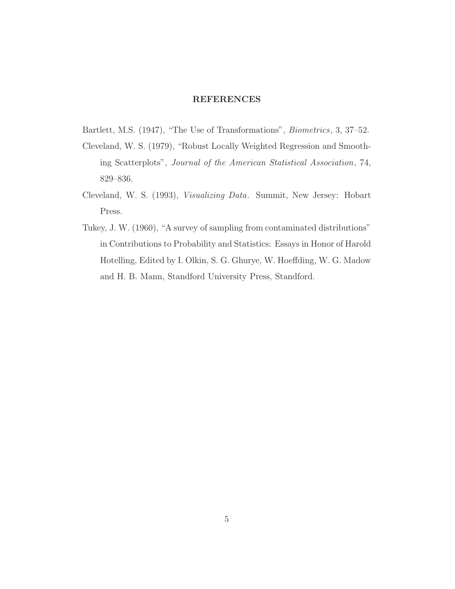## REFERENCES

- Bartlett, M.S. (1947), "The Use of Transformations", Biometrics, 3, 37–52.
- Cleveland, W. S. (1979), "Robust Locally Weighted Regression and Smoothing Scatterplots", Journal of the American Statistical Association, 74, 829–836.
- Cleveland, W. S. (1993), Visualizing Data. Summit, New Jersey: Hobart Press.
- Tukey, J. W. (1960), "A survey of sampling from contaminated distributions" in Contributions to Probability and Statistics: Essays in Honor of Harold Hotelling, Edited by I. Olkin, S. G. Ghurye, W. Hoeffding, W. G. Madow and H. B. Mann, Standford University Press, Standford.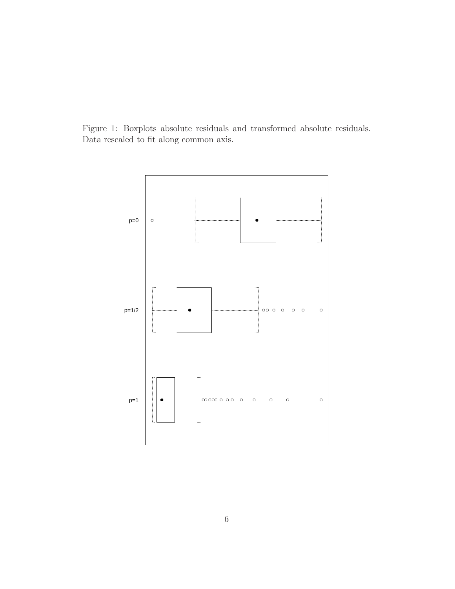Figure 1: Boxplots absolute residuals and transformed absolute residuals. Data rescaled to fit along common axis.

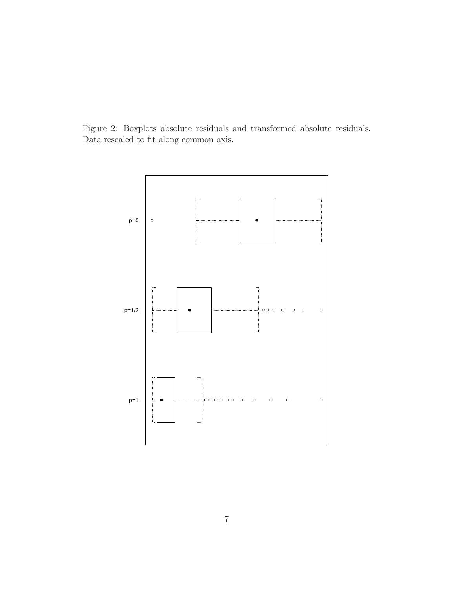Figure 2: Boxplots absolute residuals and transformed absolute residuals. Data rescaled to fit along common axis.